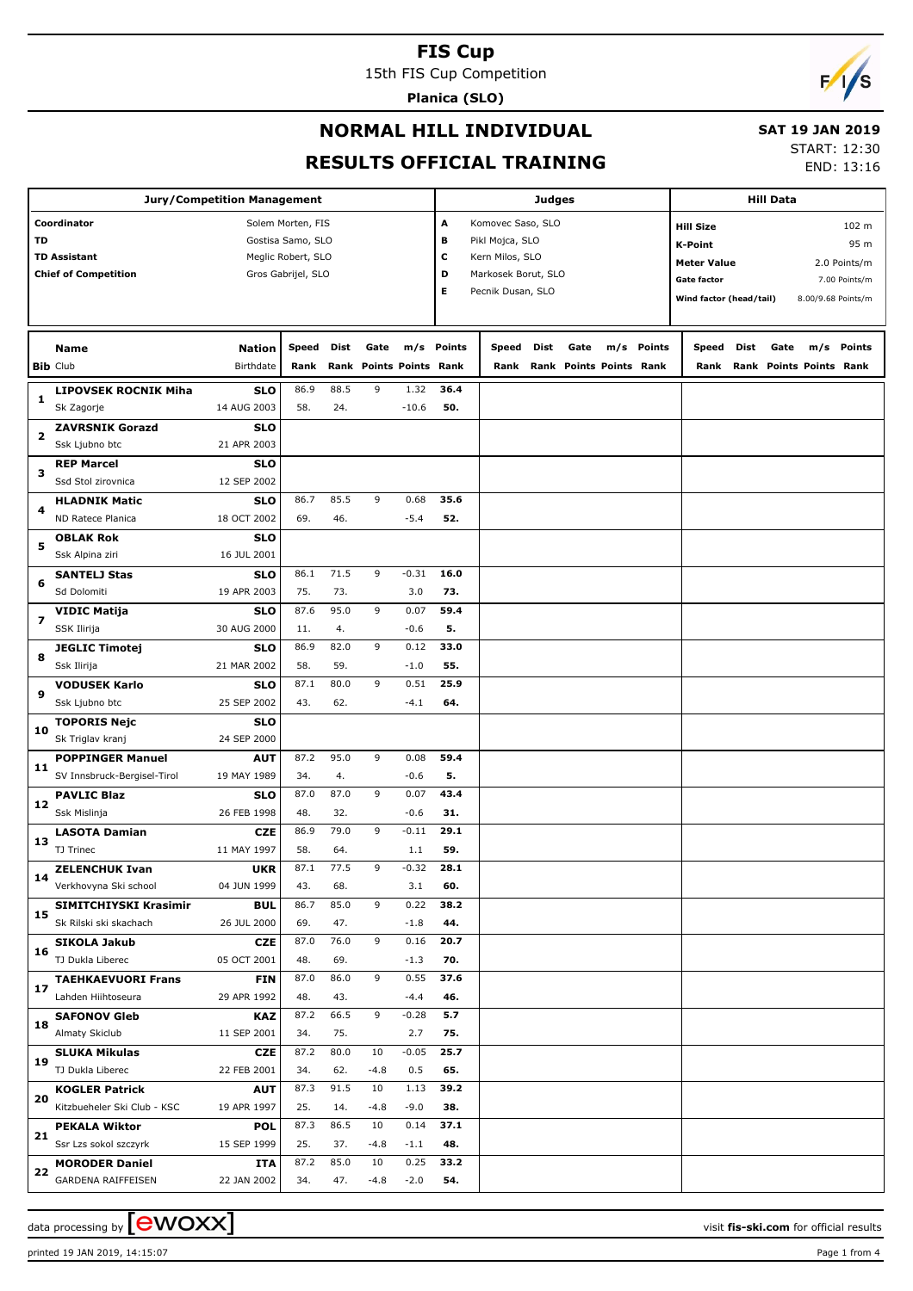15th FIS Cup Competition

**Planica (SLO)**

# $F/1/s$

### **NORMAL HILL INDIVIDUAL**

#### **SAT 19 JAN 2019**

**RESULTS OFFICIAL TRAINING**

START: 12:30

END: 13:16

|    | Jury/Competition Management                     |                           |                    |             |        | <b>Hill Data</b>        |            |                     |      |      |                         |        |                         |      |      |                         |               |
|----|-------------------------------------------------|---------------------------|--------------------|-------------|--------|-------------------------|------------|---------------------|------|------|-------------------------|--------|-------------------------|------|------|-------------------------|---------------|
|    | Coordinator                                     |                           | Solem Morten, FIS  |             |        |                         | Α          | Komovec Saso, SLO   |      |      |                         |        | <b>Hill Size</b>        |      |      |                         | 102 m         |
| TD |                                                 |                           | Gostisa Samo, SLO  |             |        |                         | в          | Pikl Mojca, SLO     |      |      |                         |        | <b>K-Point</b>          |      |      |                         | 95 m          |
|    | <b>TD Assistant</b>                             |                           | Meglic Robert, SLO |             |        |                         | c          | Kern Milos, SLO     |      |      |                         |        | <b>Meter Value</b>      |      |      |                         | 2.0 Points/m  |
|    | <b>Chief of Competition</b>                     |                           | Gros Gabrijel, SLO |             |        |                         | D          | Markosek Borut, SLO |      |      |                         |        | <b>Gate factor</b>      |      |      |                         | 7.00 Points/m |
|    |                                                 |                           |                    |             |        |                         | Е          | Pecnik Dusan, SLO   |      |      |                         |        | Wind factor (head/tail) |      |      | 8.00/9.68 Points/m      |               |
|    |                                                 |                           |                    |             |        |                         |            |                     |      |      |                         |        |                         |      |      |                         |               |
|    | <b>Name</b>                                     | <b>Nation</b>             | Speed              | Dist        | Gate   |                         | m/s Points | Speed               | Dist | Gate | m/s                     | Points | Speed                   | Dist | Gate | m/s                     | Points        |
|    | <b>Bib Club</b>                                 | Birthdate                 | Rank               |             |        | Rank Points Points Rank |            | Rank                |      |      | Rank Points Points Rank |        | Rank                    |      |      | Rank Points Points Rank |               |
|    |                                                 |                           |                    |             |        |                         |            |                     |      |      |                         |        |                         |      |      |                         |               |
| 1  | <b>LIPOVSEK ROCNIK Miha</b>                     | <b>SLO</b>                | 86.9               | 88.5        | 9      | 1.32                    | 36.4       |                     |      |      |                         |        |                         |      |      |                         |               |
|    | Sk Zagorje                                      | 14 AUG 2003               | 58.                | 24.         |        | $-10.6$                 | 50.        |                     |      |      |                         |        |                         |      |      |                         |               |
| 2  | <b>ZAVRSNIK Gorazd</b><br>Ssk Ljubno btc        | <b>SLO</b><br>21 APR 2003 |                    |             |        |                         |            |                     |      |      |                         |        |                         |      |      |                         |               |
|    | <b>REP Marcel</b>                               | <b>SLO</b>                |                    |             |        |                         |            |                     |      |      |                         |        |                         |      |      |                         |               |
| 3  | Ssd Stol zirovnica                              | 12 SEP 2002               |                    |             |        |                         |            |                     |      |      |                         |        |                         |      |      |                         |               |
|    | <b>HLADNIK Matic</b>                            | <b>SLO</b>                | 86.7               | 85.5        | 9      | 0.68                    | 35.6       |                     |      |      |                         |        |                         |      |      |                         |               |
| 4  | ND Ratece Planica                               | 18 OCT 2002               | 69.                | 46.         |        | $-5.4$                  | 52.        |                     |      |      |                         |        |                         |      |      |                         |               |
|    | <b>OBLAK Rok</b>                                | <b>SLO</b>                |                    |             |        |                         |            |                     |      |      |                         |        |                         |      |      |                         |               |
| 5  | Ssk Alpina ziri                                 | 16 JUL 2001               |                    |             |        |                         |            |                     |      |      |                         |        |                         |      |      |                         |               |
|    | <b>SANTELJ Stas</b>                             | <b>SLO</b>                | 86.1               | 71.5        | 9      | $-0.31$                 | 16.0       |                     |      |      |                         |        |                         |      |      |                         |               |
| 6  | Sd Dolomiti                                     | 19 APR 2003               | 75.                | 73.         |        | 3.0                     | 73.        |                     |      |      |                         |        |                         |      |      |                         |               |
|    | <b>VIDIC Matija</b>                             | <b>SLO</b>                | 87.6               | 95.0        | 9      | 0.07                    | 59.4       |                     |      |      |                         |        |                         |      |      |                         |               |
| 7  | SSK Ilirija                                     | 30 AUG 2000               | 11.                | 4.          |        | $-0.6$                  | 5.         |                     |      |      |                         |        |                         |      |      |                         |               |
|    | <b>JEGLIC Timotej</b>                           | <b>SLO</b>                | 86.9               | 82.0        | 9      | 0.12                    | 33.0       |                     |      |      |                         |        |                         |      |      |                         |               |
| 8  | Ssk Ilirija                                     | 21 MAR 2002               | 58.                | 59.         |        | $-1.0$                  | 55.        |                     |      |      |                         |        |                         |      |      |                         |               |
| 9  | <b>VODUSEK Karlo</b>                            | <b>SLO</b>                | 87.1               | 80.0        | 9      | 0.51                    | 25.9       |                     |      |      |                         |        |                         |      |      |                         |               |
|    | Ssk Ljubno btc                                  | 25 SEP 2002               | 43.                | 62.         |        | $-4.1$                  | 64.        |                     |      |      |                         |        |                         |      |      |                         |               |
|    | <b>TOPORIS Nejc</b>                             | <b>SLO</b>                |                    |             |        |                         |            |                     |      |      |                         |        |                         |      |      |                         |               |
| 10 | Sk Triglav kranj                                | 24 SEP 2000               |                    |             |        |                         |            |                     |      |      |                         |        |                         |      |      |                         |               |
| 11 | <b>POPPINGER Manuel</b>                         | <b>AUT</b>                | 87.2               | 95.0        | 9      | 0.08                    | 59.4       |                     |      |      |                         |        |                         |      |      |                         |               |
|    | SV Innsbruck-Bergisel-Tirol                     | 19 MAY 1989               | 34.                | 4.          |        | $-0.6$                  | 5.         |                     |      |      |                         |        |                         |      |      |                         |               |
| 12 | <b>PAVLIC Blaz</b>                              | <b>SLO</b>                | 87.0               | 87.0        | 9      | 0.07                    | 43.4       |                     |      |      |                         |        |                         |      |      |                         |               |
|    | Ssk Mislinja                                    | 26 FEB 1998               | 48.                | 32.         |        | $-0.6$                  | 31.        |                     |      |      |                         |        |                         |      |      |                         |               |
| 13 | <b>LASOTA Damian</b>                            | <b>CZE</b>                | 86.9               | 79.0        | 9      | $-0.11$                 | 29.1       |                     |      |      |                         |        |                         |      |      |                         |               |
|    | TJ Trinec                                       | 11 MAY 1997               | 58.                | 64.         |        | 1.1                     | 59.        |                     |      |      |                         |        |                         |      |      |                         |               |
| 14 | <b>ZELENCHUK Ivan</b>                           | <b>UKR</b>                | 87.1               | 77.5        | 9      | $-0.32$                 | 28.1       |                     |      |      |                         |        |                         |      |      |                         |               |
|    | Verkhovyna Ski school                           | 04 JUN 1999               | 43.                | 68.         |        | 3.1                     | 60.        |                     |      |      |                         |        |                         |      |      |                         |               |
| 15 | SIMITCHIYSKI Krasimir                           | <b>BUL</b>                | 86.7               | 85.0        | 9      | 0.22                    | 38.2       |                     |      |      |                         |        |                         |      |      |                         |               |
|    | Sk Rilski ski skachach                          | 26 JUL 2000               | 69.                | 47.         |        | $-1.8$                  | 44.        |                     |      |      |                         |        |                         |      |      |                         |               |
| 16 | <b>SIKOLA Jakub</b>                             | <b>CZE</b>                | 87.0               | 76.0        | 9      | 0.16                    | 20.7       |                     |      |      |                         |        |                         |      |      |                         |               |
|    | TJ Dukla Liberec                                | 05 OCT 2001               | 48.                | 69.         |        | $-1.3$                  | 70.        |                     |      |      |                         |        |                         |      |      |                         |               |
| 17 | <b>TAEHKAEVUORI Frans</b><br>Lahden Hiihtoseura | <b>FIN</b>                | 87.0               | 86.0        | 9      | 0.55                    | 37.6       |                     |      |      |                         |        |                         |      |      |                         |               |
|    |                                                 | 29 APR 1992               | 48.<br>87.2        | 43.<br>66.5 | 9      | $-4.4$<br>$-0.28$       | 46.<br>5.7 |                     |      |      |                         |        |                         |      |      |                         |               |
| 18 | <b>SAFONOV Gleb</b><br>Almaty Skiclub           | <b>KAZ</b><br>11 SEP 2001 | 34.                | 75.         |        | 2.7                     | 75.        |                     |      |      |                         |        |                         |      |      |                         |               |
|    |                                                 |                           | 87.2               | 80.0        | 10     | $-0.05$                 | 25.7       |                     |      |      |                         |        |                         |      |      |                         |               |
| 19 | <b>SLUKA Mikulas</b><br>TJ Dukla Liberec        | <b>CZE</b><br>22 FEB 2001 | 34.                | 62.         | $-4.8$ | 0.5                     | 65.        |                     |      |      |                         |        |                         |      |      |                         |               |
|    | <b>KOGLER Patrick</b>                           | <b>AUT</b>                | 87.3               | 91.5        | 10     | 1.13                    | 39.2       |                     |      |      |                         |        |                         |      |      |                         |               |
| 20 | Kitzbueheler Ski Club - KSC                     | 19 APR 1997               | 25.                | 14.         | $-4.8$ | $-9.0$                  | 38.        |                     |      |      |                         |        |                         |      |      |                         |               |
|    | <b>PEKALA Wiktor</b>                            | <b>POL</b>                | 87.3               | 86.5        | 10     | 0.14                    | 37.1       |                     |      |      |                         |        |                         |      |      |                         |               |
| 21 | Ssr Lzs sokol szczyrk                           | 15 SEP 1999               | 25.                | 37.         | $-4.8$ | $-1.1$                  | 48.        |                     |      |      |                         |        |                         |      |      |                         |               |
|    | <b>MORODER Daniel</b>                           | ITA                       | 87.2               | 85.0        | 10     | 0.25                    | 33.2       |                     |      |      |                         |        |                         |      |      |                         |               |
| 22 | <b>GARDENA RAIFFEISEN</b>                       | 22 JAN 2002               | 34.                | 47.         | $-4.8$ | $-2.0$                  | 54.        |                     |      |      |                         |        |                         |      |      |                         |               |

data processing by **CWOXX** and  $\overline{C}$  and  $\overline{C}$  and  $\overline{C}$  and  $\overline{C}$  and  $\overline{C}$  and  $\overline{C}$  and  $\overline{C}$  and  $\overline{C}$  and  $\overline{C}$  and  $\overline{C}$  and  $\overline{C}$  and  $\overline{C}$  and  $\overline{C}$  and  $\overline{C}$  and  $\overline{C}$ 

printed 19 JAN 2019, 14:15:07 Page 1 from 4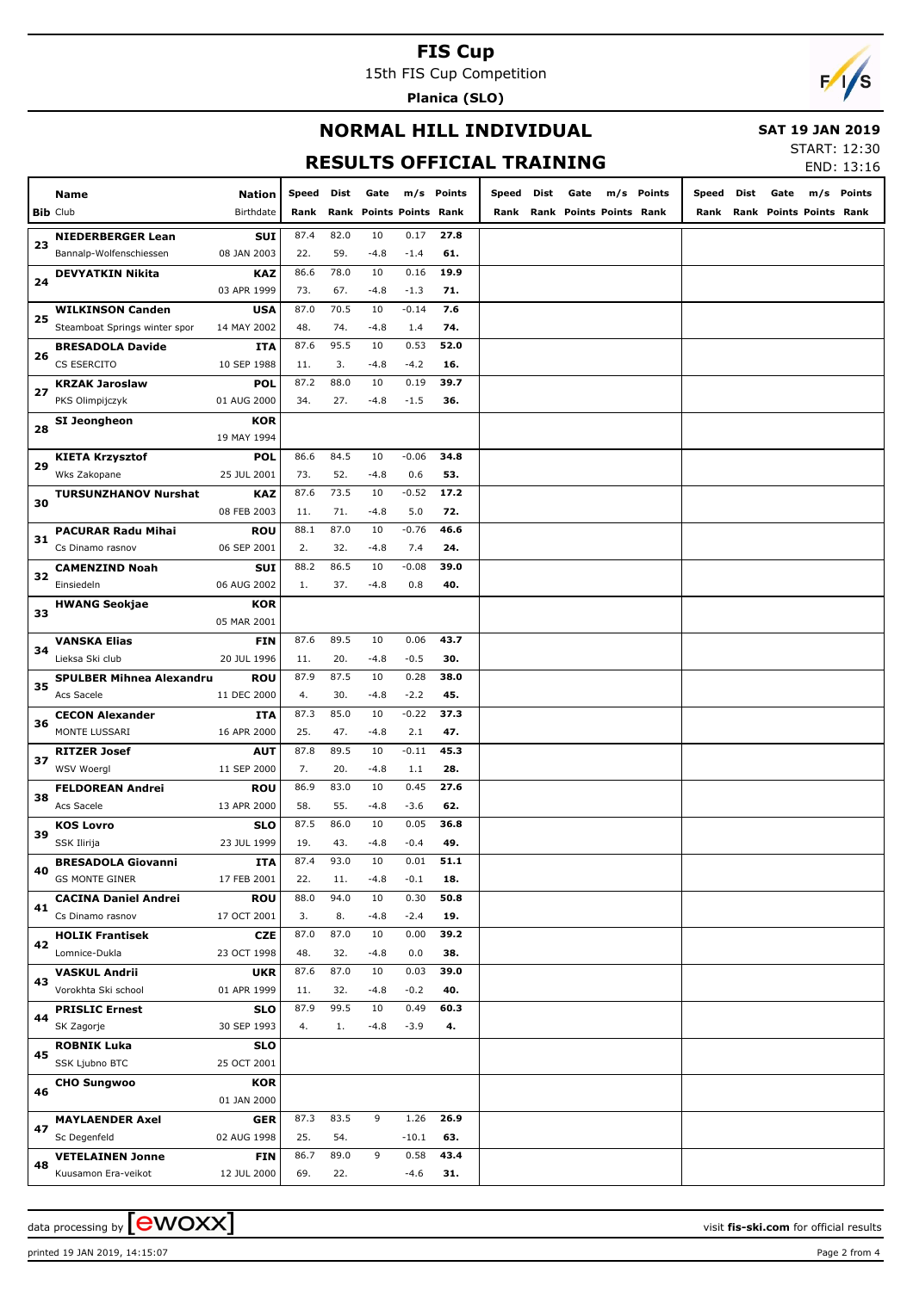15th FIS Cup Competition

**Planica (SLO)**



#### **NORMAL HILL INDIVIDUAL**

 **SAT 19 JAN 2019**

## **RESULTS OFFICIAL TRAINING**

START: 12:30 END: 13:16

|    |                                 |                     |       |      |        |                           |            |       |      |                         |            |       |      |      |                         | EMD: 12.10 |
|----|---------------------------------|---------------------|-------|------|--------|---------------------------|------------|-------|------|-------------------------|------------|-------|------|------|-------------------------|------------|
|    | Name                            | Nation<br>Birthdate | Speed | Dist | Gate   |                           | m/s Points | Speed | Dist | Gate                    | m/s Points | Speed | Dist | Gate | m/s                     | Points     |
|    | <b>Bib</b> Club                 |                     | Rank  | Rank |        | <b>Points Points Rank</b> |            | Rank  |      | Rank Points Points Rank |            | Rank  |      |      | Rank Points Points Rank |            |
| 23 | <b>NIEDERBERGER Lean</b>        | <b>SUI</b>          | 87.4  | 82.0 | 10     | 0.17                      | 27.8       |       |      |                         |            |       |      |      |                         |            |
|    | Bannalp-Wolfenschiessen         | 08 JAN 2003         | 22.   | 59.  | $-4.8$ | $-1.4$                    | 61.        |       |      |                         |            |       |      |      |                         |            |
| 24 | <b>DEVYATKIN Nikita</b>         | KAZ                 | 86.6  | 78.0 | 10     | 0.16                      | 19.9       |       |      |                         |            |       |      |      |                         |            |
|    |                                 | 03 APR 1999         | 73.   | 67.  | $-4.8$ | $-1.3$                    | 71.        |       |      |                         |            |       |      |      |                         |            |
|    | <b>WILKINSON Canden</b>         | USA                 | 87.0  | 70.5 | 10     | $-0.14$                   | 7.6        |       |      |                         |            |       |      |      |                         |            |
| 25 | Steamboat Springs winter spor   | 14 MAY 2002         | 48.   | 74.  | $-4.8$ | 1.4                       | 74.        |       |      |                         |            |       |      |      |                         |            |
|    | <b>BRESADOLA Davide</b>         | ITA                 | 87.6  | 95.5 | 10     | 0.53                      | 52.0       |       |      |                         |            |       |      |      |                         |            |
| 26 | CS ESERCITO                     | 10 SEP 1988         | 11.   | 3.   | $-4.8$ | $-4.2$                    | 16.        |       |      |                         |            |       |      |      |                         |            |
|    | <b>KRZAK Jaroslaw</b>           | POL                 | 87.2  | 88.0 | 10     | 0.19                      | 39.7       |       |      |                         |            |       |      |      |                         |            |
| 27 | PKS Olimpijczyk                 | 01 AUG 2000         | 34.   | 27.  | $-4.8$ | $-1.5$                    | 36.        |       |      |                         |            |       |      |      |                         |            |
|    | SI Jeongheon                    | <b>KOR</b>          |       |      |        |                           |            |       |      |                         |            |       |      |      |                         |            |
| 28 |                                 | 19 MAY 1994         |       |      |        |                           |            |       |      |                         |            |       |      |      |                         |            |
|    | <b>KIETA Krzysztof</b>          | <b>POL</b>          | 86.6  | 84.5 | 10     | $-0.06$                   | 34.8       |       |      |                         |            |       |      |      |                         |            |
| 29 | Wks Zakopane                    | 25 JUL 2001         | 73.   | 52.  | $-4.8$ | 0.6                       | 53.        |       |      |                         |            |       |      |      |                         |            |
|    | <b>TURSUNZHANOV Nurshat</b>     | KAZ                 | 87.6  | 73.5 | 10     | $-0.52$                   | 17.2       |       |      |                         |            |       |      |      |                         |            |
| 30 |                                 | 08 FEB 2003         | 11.   | 71.  | $-4.8$ | 5.0                       | 72.        |       |      |                         |            |       |      |      |                         |            |
|    | <b>PACURAR Radu Mihai</b>       | <b>ROU</b>          | 88.1  | 87.0 | 10     | $-0.76$                   | 46.6       |       |      |                         |            |       |      |      |                         |            |
| 31 | Cs Dinamo rasnov                | 06 SEP 2001         | 2.    | 32.  | $-4.8$ | 7.4                       | 24.        |       |      |                         |            |       |      |      |                         |            |
|    | <b>CAMENZIND Noah</b>           | <b>SUI</b>          | 88.2  | 86.5 | 10     | $-0.08$                   | 39.0       |       |      |                         |            |       |      |      |                         |            |
| 32 | Einsiedeln                      | 06 AUG 2002         | 1.    | 37.  | $-4.8$ | 0.8                       | 40.        |       |      |                         |            |       |      |      |                         |            |
|    | <b>HWANG Seokjae</b>            | <b>KOR</b>          |       |      |        |                           |            |       |      |                         |            |       |      |      |                         |            |
| 33 |                                 | 05 MAR 2001         |       |      |        |                           |            |       |      |                         |            |       |      |      |                         |            |
|    | VANSKA Elias                    | <b>FIN</b>          | 87.6  | 89.5 | 10     | 0.06                      | 43.7       |       |      |                         |            |       |      |      |                         |            |
| 34 | Lieksa Ski club                 | 20 JUL 1996         | 11.   | 20.  | $-4.8$ | $-0.5$                    | 30.        |       |      |                         |            |       |      |      |                         |            |
|    | <b>SPULBER Mihnea Alexandru</b> | <b>ROU</b>          | 87.9  | 87.5 | 10     | 0.28                      | 38.0       |       |      |                         |            |       |      |      |                         |            |
| 35 | Acs Sacele                      | 11 DEC 2000         | 4.    | 30.  | $-4.8$ | $-2.2$                    | 45.        |       |      |                         |            |       |      |      |                         |            |
|    | <b>CECON Alexander</b>          | ITA                 | 87.3  | 85.0 | 10     | $-0.22$                   | 37.3       |       |      |                         |            |       |      |      |                         |            |
| 36 | MONTE LUSSARI                   | 16 APR 2000         | 25.   | 47.  | $-4.8$ | 2.1                       | 47.        |       |      |                         |            |       |      |      |                         |            |
|    | <b>RITZER Josef</b>             | AUT                 | 87.8  | 89.5 | 10     | $-0.11$                   | 45.3       |       |      |                         |            |       |      |      |                         |            |
| 37 | WSV Woergl                      | 11 SEP 2000         | 7.    | 20.  | $-4.8$ | 1.1                       | 28.        |       |      |                         |            |       |      |      |                         |            |
|    | <b>FELDOREAN Andrei</b>         | <b>ROU</b>          | 86.9  | 83.0 | 10     | 0.45                      | 27.6       |       |      |                         |            |       |      |      |                         |            |
| 38 | Acs Sacele                      | 13 APR 2000         | 58.   | 55.  | -4.8   | $-3.6$                    | 62.        |       |      |                         |            |       |      |      |                         |            |
|    | <b>KOS Lovro</b>                | <b>SLO</b>          | 87.5  | 86.0 | 10     | 0.05                      | 36.8       |       |      |                         |            |       |      |      |                         |            |
| 39 | SSK Ilirija                     | 23 JUL 1999         | 19.   | 43.  | $-4.8$ | $-0.4$                    | 49.        |       |      |                         |            |       |      |      |                         |            |
|    | <b>BRESADOLA Giovanni</b>       | ITA                 | 87.4  | 93.0 | 10     | 0.01                      | 51.1       |       |      |                         |            |       |      |      |                         |            |
| 40 | <b>GS MONTE GINER</b>           | 17 FEB 2001         | 22.   | 11.  | $-4.8$ | $-0.1$                    | 18.        |       |      |                         |            |       |      |      |                         |            |
|    | <b>CACINA Daniel Andrei</b>     | <b>ROU</b>          | 88.0  | 94.0 | 10     | 0.30                      | 50.8       |       |      |                         |            |       |      |      |                         |            |
| 41 | Cs Dinamo rasnov                | 17 OCT 2001         | 3.    | 8.   | $-4.8$ | $-2.4$                    | 19.        |       |      |                         |            |       |      |      |                         |            |
|    | <b>HOLIK Frantisek</b>          | <b>CZE</b>          | 87.0  | 87.0 | 10     | 0.00                      | 39.2       |       |      |                         |            |       |      |      |                         |            |
| 42 | Lomnice-Dukla                   | 23 OCT 1998         | 48.   | 32.  | $-4.8$ | 0.0                       | 38.        |       |      |                         |            |       |      |      |                         |            |
|    | <b>VASKUL Andrii</b>            | <b>UKR</b>          | 87.6  | 87.0 | 10     | 0.03                      | 39.0       |       |      |                         |            |       |      |      |                         |            |
| 43 | Vorokhta Ski school             | 01 APR 1999         | 11.   | 32.  | $-4.8$ | $-0.2$                    | 40.        |       |      |                         |            |       |      |      |                         |            |
|    | <b>PRISLIC Ernest</b>           | <b>SLO</b>          | 87.9  | 99.5 | 10     | 0.49                      | 60.3       |       |      |                         |            |       |      |      |                         |            |
| 44 | SK Zagorje                      | 30 SEP 1993         | 4.    | 1.   | $-4.8$ | $-3.9$                    | 4.         |       |      |                         |            |       |      |      |                         |            |
|    | <b>ROBNIK Luka</b>              | <b>SLO</b>          |       |      |        |                           |            |       |      |                         |            |       |      |      |                         |            |
| 45 | SSK Ljubno BTC                  | 25 OCT 2001         |       |      |        |                           |            |       |      |                         |            |       |      |      |                         |            |
|    | <b>CHO Sungwoo</b>              | <b>KOR</b>          |       |      |        |                           |            |       |      |                         |            |       |      |      |                         |            |
| 46 |                                 | 01 JAN 2000         |       |      |        |                           |            |       |      |                         |            |       |      |      |                         |            |
|    | <b>MAYLAENDER Axel</b>          | <b>GER</b>          | 87.3  | 83.5 | 9      | 1.26                      | 26.9       |       |      |                         |            |       |      |      |                         |            |
| 47 | Sc Degenfeld                    | 02 AUG 1998         | 25.   | 54.  |        | $-10.1$                   | 63.        |       |      |                         |            |       |      |      |                         |            |
|    | <b>VETELAINEN Jonne</b>         | <b>FIN</b>          | 86.7  | 89.0 | 9      | 0.58                      | 43.4       |       |      |                         |            |       |      |      |                         |            |
| 48 | Kuusamon Era-veikot             | 12 JUL 2000         | 69.   | 22.  |        | $-4.6$                    | 31.        |       |      |                         |            |       |      |      |                         |            |
|    |                                 |                     |       |      |        |                           |            |       |      |                         |            |       |      |      |                         |            |

printed 19 JAN 2019, 14:15:07 Page 2 from 4

data processing by **CWOXX**  $\blacksquare$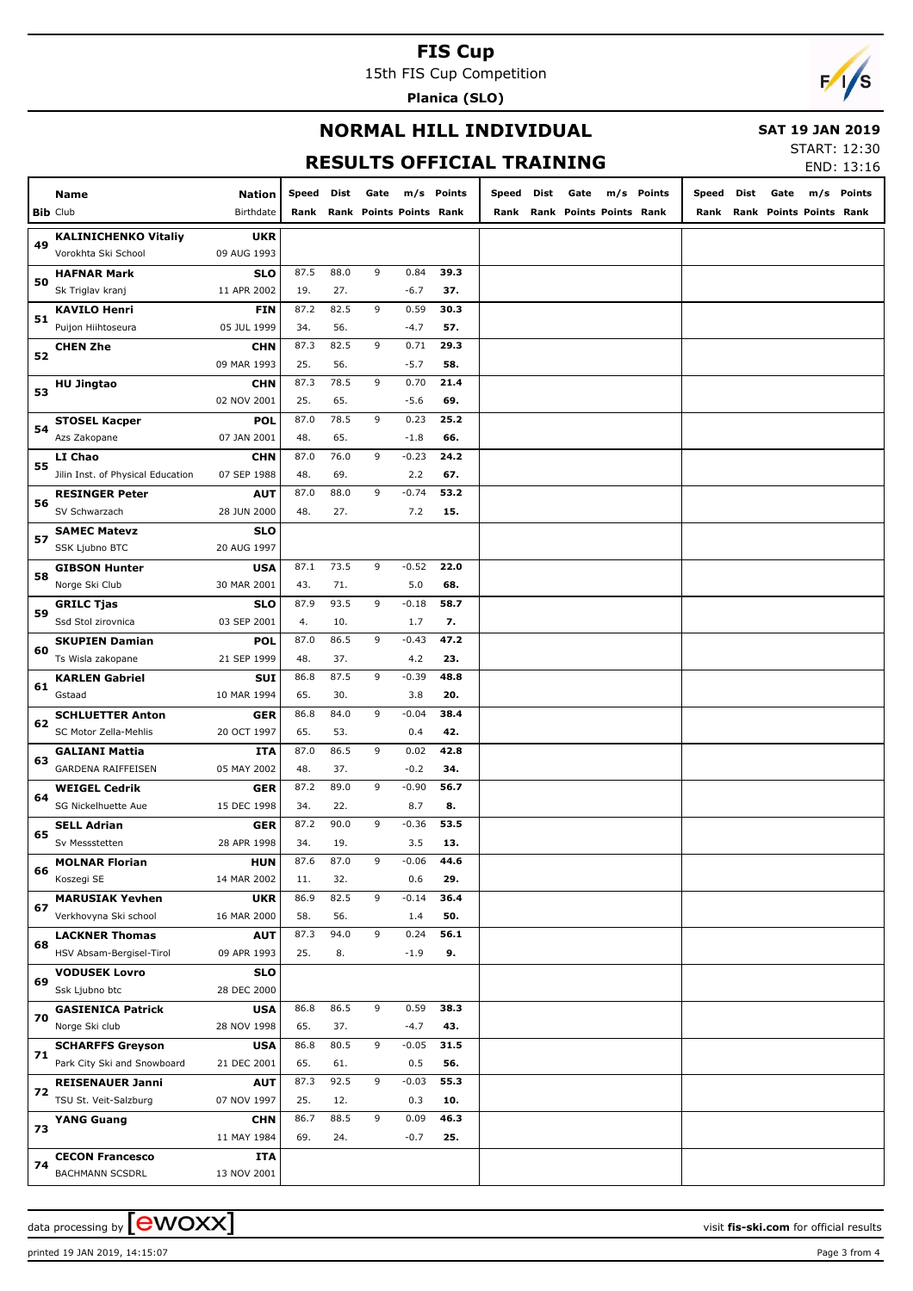15th FIS Cup Competition

**Planica (SLO)**



### **NORMAL HILL INDIVIDUAL**

#### **SAT 19 JAN 2019**

## **RESULTS OFFICIAL TRAINING**

START: 12:30 END: 13:16

|    |                                                  |                           |             |             |                         |             |             |       |      |                         |            |       |      |                         | LIND. IJ.IL |
|----|--------------------------------------------------|---------------------------|-------------|-------------|-------------------------|-------------|-------------|-------|------|-------------------------|------------|-------|------|-------------------------|-------------|
|    | Name                                             | Nation                    | Speed       | Dist        | Gate                    |             | m/s Points  | Speed | Dist | Gate                    | m/s Points | Speed | Dist | Gate                    | m/s Points  |
|    | <b>Bib Club</b>                                  | Birthdate                 | Rank        |             | Rank Points Points Rank |             |             | Rank  |      | Rank Points Points Rank |            | Rank  |      | Rank Points Points Rank |             |
|    | <b>KALINICHENKO Vitaliy</b>                      | <b>UKR</b>                |             |             |                         |             |             |       |      |                         |            |       |      |                         |             |
| 49 | Vorokhta Ski School                              | 09 AUG 1993               |             |             |                         |             |             |       |      |                         |            |       |      |                         |             |
|    | <b>HAFNAR Mark</b>                               | <b>SLO</b>                | 87.5        | 88.0        | 9                       | 0.84        | 39.3        |       |      |                         |            |       |      |                         |             |
| 50 | Sk Triglav kranj                                 | 11 APR 2002               | 19.         | 27.         |                         | $-6.7$      | 37.         |       |      |                         |            |       |      |                         |             |
|    | <b>KAVILO Henri</b>                              | <b>FIN</b>                | 87.2        | 82.5        | 9                       | 0.59        | 30.3        |       |      |                         |            |       |      |                         |             |
| 51 | Puijon Hiihtoseura                               | 05 JUL 1999               | 34.         | 56.         |                         | $-4.7$      | 57.         |       |      |                         |            |       |      |                         |             |
|    | <b>CHEN Zhe</b>                                  | <b>CHN</b>                | 87.3        | 82.5        | 9                       | 0.71        | 29.3        |       |      |                         |            |       |      |                         |             |
| 52 |                                                  | 09 MAR 1993               | 25.         | 56.         |                         | $-5.7$      | 58.         |       |      |                         |            |       |      |                         |             |
|    | <b>HU Jingtao</b>                                | <b>CHN</b>                | 87.3        | 78.5        | 9                       | 0.70        | 21.4        |       |      |                         |            |       |      |                         |             |
| 53 |                                                  | 02 NOV 2001               | 25.         | 65.         |                         | $-5.6$      | 69.         |       |      |                         |            |       |      |                         |             |
|    | <b>STOSEL Kacper</b>                             | <b>POL</b>                | 87.0        | 78.5        | 9                       | 0.23        | 25.2        |       |      |                         |            |       |      |                         |             |
| 54 | Azs Zakopane                                     | 07 JAN 2001               | 48.         | 65.         |                         | $-1.8$      | 66.         |       |      |                         |            |       |      |                         |             |
|    | LI Chao                                          | <b>CHN</b>                | 87.0        | 76.0        | 9                       | $-0.23$     | 24.2        |       |      |                         |            |       |      |                         |             |
| 55 | Jilin Inst. of Physical Education                | 07 SEP 1988               | 48.         | 69.         |                         | 2.2         | 67.         |       |      |                         |            |       |      |                         |             |
|    | <b>RESINGER Peter</b>                            | <b>AUT</b>                | 87.0        | 88.0        | 9                       | $-0.74$     | 53.2        |       |      |                         |            |       |      |                         |             |
| 56 | SV Schwarzach                                    | 28 JUN 2000               | 48.         | 27.         |                         | 7.2         | 15.         |       |      |                         |            |       |      |                         |             |
|    | <b>SAMEC Matevz</b>                              | <b>SLO</b>                |             |             |                         |             |             |       |      |                         |            |       |      |                         |             |
| 57 | SSK Ljubno BTC                                   | 20 AUG 1997               |             |             |                         |             |             |       |      |                         |            |       |      |                         |             |
|    | <b>GIBSON Hunter</b>                             | <b>USA</b>                | 87.1        | 73.5        | 9                       | $-0.52$     | 22.0        |       |      |                         |            |       |      |                         |             |
| 58 | Norge Ski Club                                   | 30 MAR 2001               | 43.         | 71.         |                         | 5.0         | 68.         |       |      |                         |            |       |      |                         |             |
|    | <b>GRILC Tjas</b>                                | <b>SLO</b>                | 87.9        | 93.5        | 9                       | $-0.18$     | 58.7        |       |      |                         |            |       |      |                         |             |
| 59 | Ssd Stol zirovnica                               | 03 SEP 2001               | 4.          | 10.         |                         | 1.7         | 7.          |       |      |                         |            |       |      |                         |             |
|    | <b>SKUPIEN Damian</b>                            | <b>POL</b>                | 87.0        | 86.5        | 9                       | $-0.43$     | 47.2        |       |      |                         |            |       |      |                         |             |
| 60 | Ts Wisla zakopane                                | 21 SEP 1999               | 48.         | 37.         |                         | 4.2         | 23.         |       |      |                         |            |       |      |                         |             |
| 61 | <b>KARLEN Gabriel</b>                            | SUI                       | 86.8        | 87.5        | 9                       | $-0.39$     | 48.8        |       |      |                         |            |       |      |                         |             |
|    | Gstaad                                           | 10 MAR 1994               | 65.         | 30.         |                         | 3.8         | 20.         |       |      |                         |            |       |      |                         |             |
| 62 | <b>SCHLUETTER Anton</b>                          | <b>GER</b>                | 86.8        | 84.0        | 9                       | $-0.04$     | 38.4        |       |      |                         |            |       |      |                         |             |
|    | SC Motor Zella-Mehlis                            | 20 OCT 1997               | 65.         | 53.         |                         | 0.4         | 42.         |       |      |                         |            |       |      |                         |             |
| 63 | <b>GALIANI Mattia</b>                            | ITA                       | 87.0        | 86.5        | 9                       | 0.02        | 42.8        |       |      |                         |            |       |      |                         |             |
|    | <b>GARDENA RAIFFEISEN</b>                        | 05 MAY 2002               | 48.         | 37.         |                         | $-0.2$      | 34.         |       |      |                         |            |       |      |                         |             |
| 64 | <b>WEIGEL Cedrik</b>                             | <b>GER</b>                | 87.2        | 89.0        | 9                       | $-0.90$     | 56.7        |       |      |                         |            |       |      |                         |             |
|    | <b>SG Nickelhuette Aue</b>                       | 15 DEC 1998               | 34.         | 22.         |                         | 8.7         | 8.          |       |      |                         |            |       |      |                         |             |
| 65 | <b>SELL Adrian</b>                               | GER                       | 87.2        | 90.0        | 9                       | -0.36       | 53.5        |       |      |                         |            |       |      |                         |             |
|    | Sv Messstetten                                   | 28 APR 1998               | 34.         | 19.         |                         | 3.5         | 13.         |       |      |                         |            |       |      |                         |             |
| 66 | <b>MOLNAR Florian</b>                            | <b>HUN</b>                | 87.6        | 87.0        | 9                       | $-0.06$     | 44.6        |       |      |                         |            |       |      |                         |             |
|    | Koszegi SE                                       | 14 MAR 2002               | 11.         | 32.         |                         | 0.6         | 29.         |       |      |                         |            |       |      |                         |             |
| 67 | <b>MARUSIAK Yevhen</b>                           | <b>UKR</b>                | 86.9        | 82.5        | 9                       | $-0.14$     | 36.4        |       |      |                         |            |       |      |                         |             |
|    | Verkhovyna Ski school                            | 16 MAR 2000               | 58.         | 56.         |                         | 1.4         | 50.         |       |      |                         |            |       |      |                         |             |
| 68 | <b>LACKNER Thomas</b>                            | <b>AUT</b>                | 87.3        | 94.0        | 9                       | 0.24        | 56.1        |       |      |                         |            |       |      |                         |             |
|    | HSV Absam-Bergisel-Tirol                         | 09 APR 1993               | 25.         | 8.          |                         | $-1.9$      | 9.          |       |      |                         |            |       |      |                         |             |
| 69 | <b>VODUSEK Lovro</b>                             | <b>SLO</b>                |             |             |                         |             |             |       |      |                         |            |       |      |                         |             |
|    | Ssk Ljubno btc                                   | 28 DEC 2000               |             |             |                         |             |             |       |      |                         |            |       |      |                         |             |
| 70 | <b>GASIENICA Patrick</b>                         | <b>USA</b>                | 86.8        | 86.5        | 9                       | 0.59        | 38.3        |       |      |                         |            |       |      |                         |             |
|    | Norge Ski club                                   | 28 NOV 1998               | 65.         | 37.         |                         | $-4.7$      | 43.         |       |      |                         |            |       |      |                         |             |
| 71 | <b>SCHARFFS Greyson</b>                          | <b>USA</b>                | 86.8        | 80.5        | 9                       | $-0.05$     | 31.5        |       |      |                         |            |       |      |                         |             |
|    | Park City Ski and Snowboard                      | 21 DEC 2001               | 65.         | 61.         |                         | 0.5         | 56.         |       |      |                         |            |       |      |                         |             |
| 72 | <b>REISENAUER Janni</b>                          | <b>AUT</b>                | 87.3        | 92.5        | 9                       | $-0.03$     | 55.3        |       |      |                         |            |       |      |                         |             |
|    | TSU St. Veit-Salzburg                            | 07 NOV 1997               | 25.<br>86.7 | 12.<br>88.5 | 9                       | 0.3<br>0.09 | 10.<br>46.3 |       |      |                         |            |       |      |                         |             |
| 73 | <b>YANG Guang</b>                                | <b>CHN</b><br>11 MAY 1984 | 69.         | 24.         |                         | $-0.7$      | 25.         |       |      |                         |            |       |      |                         |             |
|    |                                                  |                           |             |             |                         |             |             |       |      |                         |            |       |      |                         |             |
| 74 | <b>CECON Francesco</b><br><b>BACHMANN SCSDRL</b> | <b>ITA</b><br>13 NOV 2001 |             |             |                         |             |             |       |      |                         |            |       |      |                         |             |
|    |                                                  |                           |             |             |                         |             |             |       |      |                         |            |       |      |                         |             |

printed 19 JAN 2019, 14:15:07 Page 3 from 4

data processing by **CWOXX** and  $\overline{C}$  and  $\overline{C}$  and  $\overline{C}$  and  $\overline{C}$  and  $\overline{C}$  and  $\overline{C}$  and  $\overline{C}$  and  $\overline{C}$  and  $\overline{C}$  and  $\overline{C}$  and  $\overline{C}$  and  $\overline{C}$  and  $\overline{C}$  and  $\overline{C}$  and  $\overline{C}$